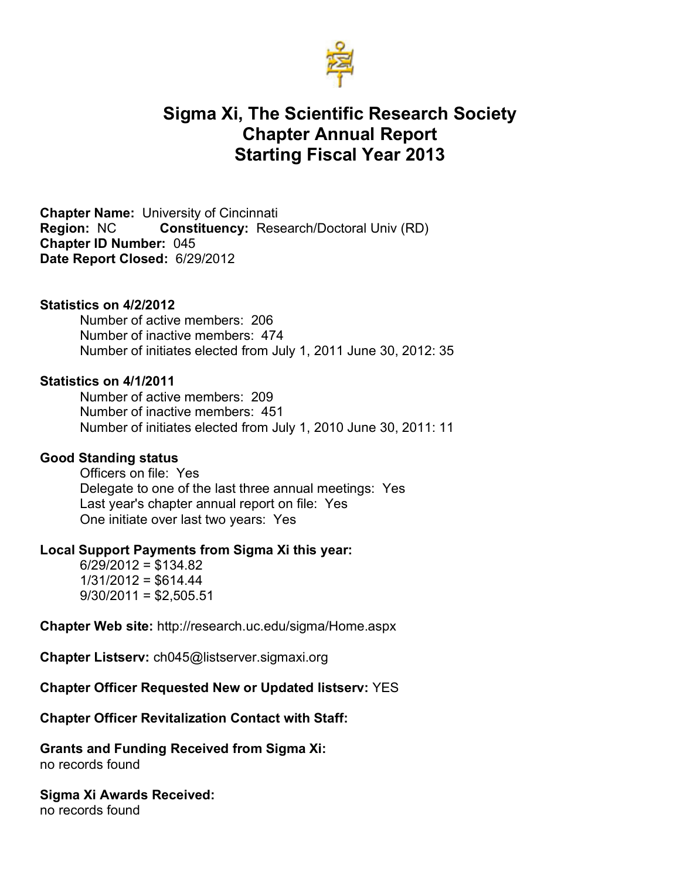

# **Sigma Xi, The Scientific Research Society Chapter Annual Report Starting Fiscal Year 2013**

**Chapter Name:** University of Cincinnati **Region:** NC **Constituency:** Research/Doctoral Univ (RD) **Chapter ID Number:** 045 **Date Report Closed:** 6/29/2012

### **Statistics on 4/2/2012**

Number of active members: 206 Number of inactive members: 474 Number of initiates elected from July 1, 2011 June 30, 2012: 35

#### **Statistics on 4/1/2011**

Number of active members: 209 Number of inactive members: 451 Number of initiates elected from July 1, 2010 June 30, 2011: 11

### **Good Standing status**

Officers on file: Yes Delegate to one of the last three annual meetings: Yes Last year's chapter annual report on file: Yes One initiate over last two years: Yes

## **Local Support Payments from Sigma Xi this year:**

 $6/29/2012 = $134.82$  $1/31/2012 = $614.44$  $9/30/2011 = $2,505.51$ 

**Chapter Web site:** http://research.uc.edu/sigma/Home.aspx

**Chapter Listserv:** ch045@listserver.sigmaxi.org

**Chapter Officer Requested New or Updated listserv:** YES

#### **Chapter Officer Revitalization Contact with Staff:**

**Grants and Funding Received from Sigma Xi:**  no records found

**Sigma Xi Awards Received:** no records found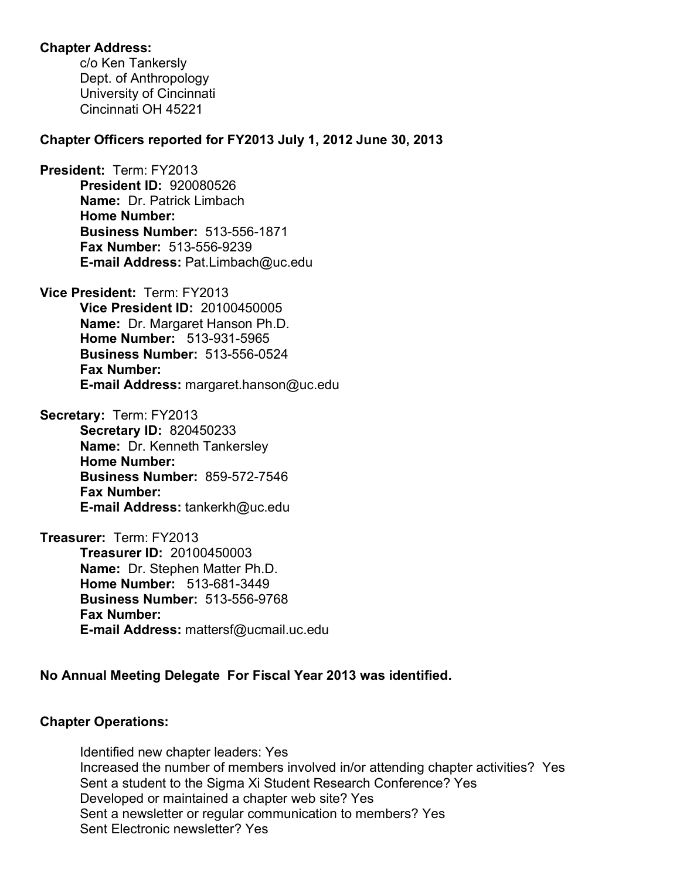# **Chapter Address:**

c/o Ken Tankersly Dept. of Anthropology University of Cincinnati Cincinnati OH 45221

## **Chapter Officers reported for FY2013 July 1, 2012 June 30, 2013**

**President:** Term: FY2013 **President ID:** 920080526 **Name:** Dr. Patrick Limbach **Home Number: Business Number:** 513-556-1871 **Fax Number:** 513-556-9239 **E-mail Address:** Pat.Limbach@uc.edu

**Vice President:** Term: FY2013 **Vice President ID:** 20100450005 **Name:** Dr. Margaret Hanson Ph.D. **Home Number:** 513-931-5965 **Business Number:** 513-556-0524 **Fax Number: E-mail Address:** margaret.hanson@uc.edu

**Secretary:** Term: FY2013 **Secretary ID:** 820450233 **Name:** Dr. Kenneth Tankersley **Home Number: Business Number:** 859-572-7546 **Fax Number: E-mail Address:** tankerkh@uc.edu

**Treasurer:** Term: FY2013 **Treasurer ID:** 20100450003 **Name:** Dr. Stephen Matter Ph.D. **Home Number:** 513-681-3449 **Business Number:** 513-556-9768 **Fax Number: E-mail Address:** mattersf@ucmail.uc.edu

# **No Annual Meeting Delegate For Fiscal Year 2013 was identified.**

# **Chapter Operations:**

Identified new chapter leaders: Yes Increased the number of members involved in/or attending chapter activities? Yes Sent a student to the Sigma Xi Student Research Conference? Yes Developed or maintained a chapter web site? Yes Sent a newsletter or regular communication to members? Yes Sent Electronic newsletter? Yes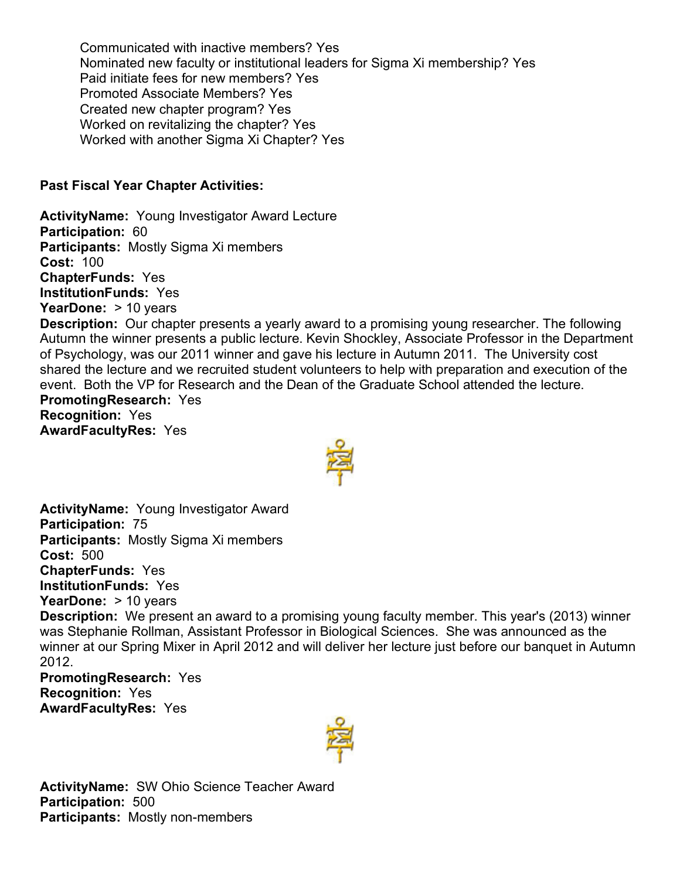Communicated with inactive members? Yes Nominated new faculty or institutional leaders for Sigma Xi membership? Yes Paid initiate fees for new members? Yes Promoted Associate Members? Yes Created new chapter program? Yes Worked on revitalizing the chapter? Yes Worked with another Sigma Xi Chapter? Yes

# **Past Fiscal Year Chapter Activities:**

**ActivityName:** Young Investigator Award Lecture **Participation:** 60 **Participants:** Mostly Sigma Xi members **Cost:** 100 **ChapterFunds:** Yes **InstitutionFunds:** Yes **YearDone:** > 10 years **Description:** Our chapter presents a yearly award to a promising young researcher. The following Autumn the winner presents a public lecture. Kevin Shockley, Associate Professor in the Department of Psychology, was our 2011 winner and gave his lecture in Autumn 2011. The University cost shared the lecture and we recruited student volunteers to help with preparation and execution of the event. Both the VP for Research and the Dean of the Graduate School attended the lecture. **PromotingResearch:** Yes **Recognition:** Yes **AwardFacultyRes:** Yes



**ActivityName:** Young Investigator Award **Participation:** 75 **Participants:** Mostly Sigma Xi members **Cost:** 500 **ChapterFunds:** Yes **InstitutionFunds:** Yes **YearDone:** > 10 years **Description:** We present an award to a promising young faculty member. This year's (2013) winner was Stephanie Rollman, Assistant Professor in Biological Sciences. She was announced as the winner at our Spring Mixer in April 2012 and will deliver her lecture just before our banquet in Autumn 2012.

**PromotingResearch:** Yes **Recognition:** Yes **AwardFacultyRes:** Yes



**ActivityName:** SW Ohio Science Teacher Award **Participation:** 500 **Participants:** Mostly non-members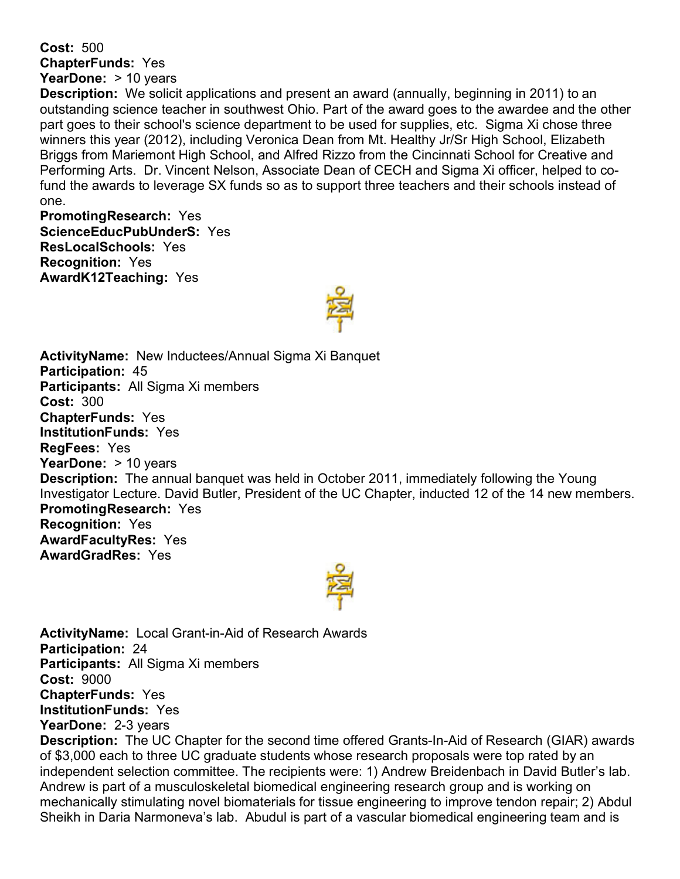**Cost:** 500 **ChapterFunds:** Yes **YearDone:** > 10 years

**Description:** We solicit applications and present an award (annually, beginning in 2011) to an outstanding science teacher in southwest Ohio. Part of the award goes to the awardee and the other part goes to their school's science department to be used for supplies, etc. Sigma Xi chose three winners this year (2012), including Veronica Dean from Mt. Healthy Jr/Sr High School, Elizabeth Briggs from Mariemont High School, and Alfred Rizzo from the Cincinnati School for Creative and Performing Arts. Dr. Vincent Nelson, Associate Dean of CECH and Sigma Xi officer, helped to cofund the awards to leverage SX funds so as to support three teachers and their schools instead of one.

**PromotingResearch:** Yes **ScienceEducPubUnderS:** Yes **ResLocalSchools:** Yes **Recognition:** Yes **AwardK12Teaching:** Yes



**ActivityName:** New Inductees/Annual Sigma Xi Banquet **Participation:** 45 **Participants:** All Sigma Xi members **Cost:** 300 **ChapterFunds:** Yes **InstitutionFunds:** Yes **RegFees:** Yes **YearDone:** > 10 years **Description:** The annual banquet was held in October 2011, immediately following the Young Investigator Lecture. David Butler, President of the UC Chapter, inducted 12 of the 14 new members. **PromotingResearch:** Yes **Recognition:** Yes **AwardFacultyRes:** Yes **AwardGradRes:** Yes



**ActivityName:** Local Grant-in-Aid of Research Awards **Participation:** 24 **Participants:** All Sigma Xi members **Cost:** 9000 **ChapterFunds:** Yes **InstitutionFunds:** Yes **YearDone:** 2-3 years

**Description:** The UC Chapter for the second time offered Grants-In-Aid of Research (GIAR) awards of \$3,000 each to three UC graduate students whose research proposals were top rated by an independent selection committee. The recipients were: 1) Andrew Breidenbach in David Butler's lab. Andrew is part of a musculoskeletal biomedical engineering research group and is working on mechanically stimulating novel biomaterials for tissue engineering to improve tendon repair; 2) Abdul Sheikh in Daria Narmoneva's lab. Abudul is part of a vascular biomedical engineering team and is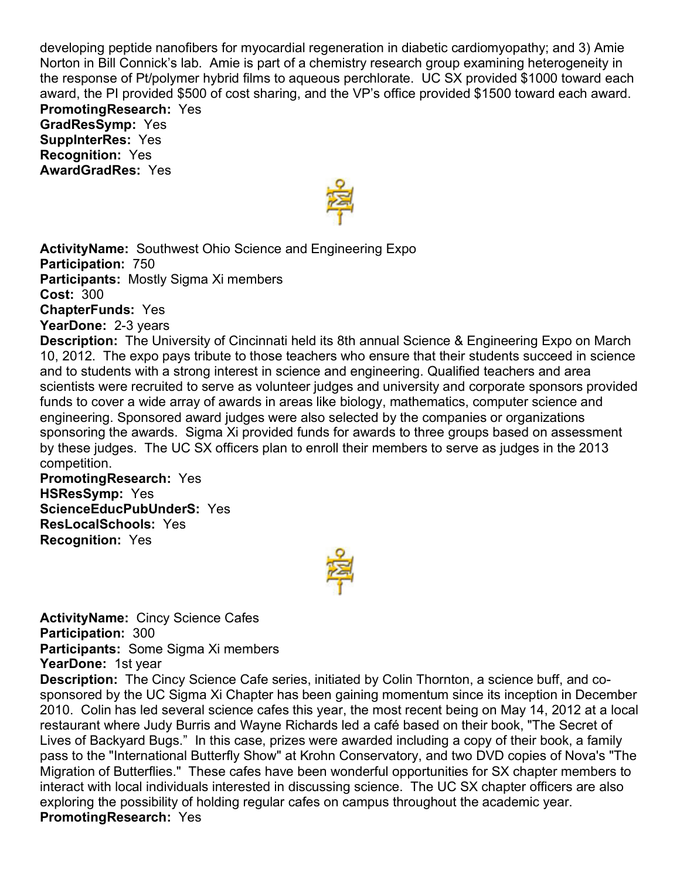developing peptide nanofibers for myocardial regeneration in diabetic cardiomyopathy; and 3) Amie Norton in Bill Connick's lab. Amie is part of a chemistry research group examining heterogeneity in the response of Pt/polymer hybrid films to aqueous perchlorate. UC SX provided \$1000 toward each award, the PI provided \$500 of cost sharing, and the VP's office provided \$1500 toward each award. **PromotingResearch:** Yes

**GradResSymp:** Yes **SuppInterRes:** Yes **Recognition:** Yes **AwardGradRes:** Yes



**ActivityName:** Southwest Ohio Science and Engineering Expo **Participation:** 750 **Participants:** Mostly Sigma Xi members **Cost:** 300 **ChapterFunds:** Yes **YearDone:** 2-3 years

**Description:** The University of Cincinnati held its 8th annual Science & Engineering Expo on March 10, 2012. The expo pays tribute to those teachers who ensure that their students succeed in science and to students with a strong interest in science and engineering. Qualified teachers and area scientists were recruited to serve as volunteer judges and university and corporate sponsors provided funds to cover a wide array of awards in areas like biology, mathematics, computer science and engineering. Sponsored award judges were also selected by the companies or organizations sponsoring the awards. Sigma Xi provided funds for awards to three groups based on assessment by these judges. The UC SX officers plan to enroll their members to serve as judges in the 2013 competition.

**PromotingResearch:** Yes **HSResSymp:** Yes **ScienceEducPubUnderS:** Yes **ResLocalSchools:** Yes **Recognition:** Yes



**ActivityName:** Cincy Science Cafes **Participation:** 300 **Participants:** Some Sigma Xi members

**YearDone:** 1st year

**Description:** The Cincy Science Cafe series, initiated by Colin Thornton, a science buff, and cosponsored by the UC Sigma Xi Chapter has been gaining momentum since its inception in December 2010. Colin has led several science cafes this year, the most recent being on May 14, 2012 at a local restaurant where Judy Burris and Wayne Richards led a café based on their book, "The Secret of Lives of Backyard Bugs." In this case, prizes were awarded including a copy of their book, a family pass to the "International Butterfly Show" at Krohn Conservatory, and two DVD copies of Nova's "The Migration of Butterflies." These cafes have been wonderful opportunities for SX chapter members to interact with local individuals interested in discussing science. The UC SX chapter officers are also exploring the possibility of holding regular cafes on campus throughout the academic year. **PromotingResearch:** Yes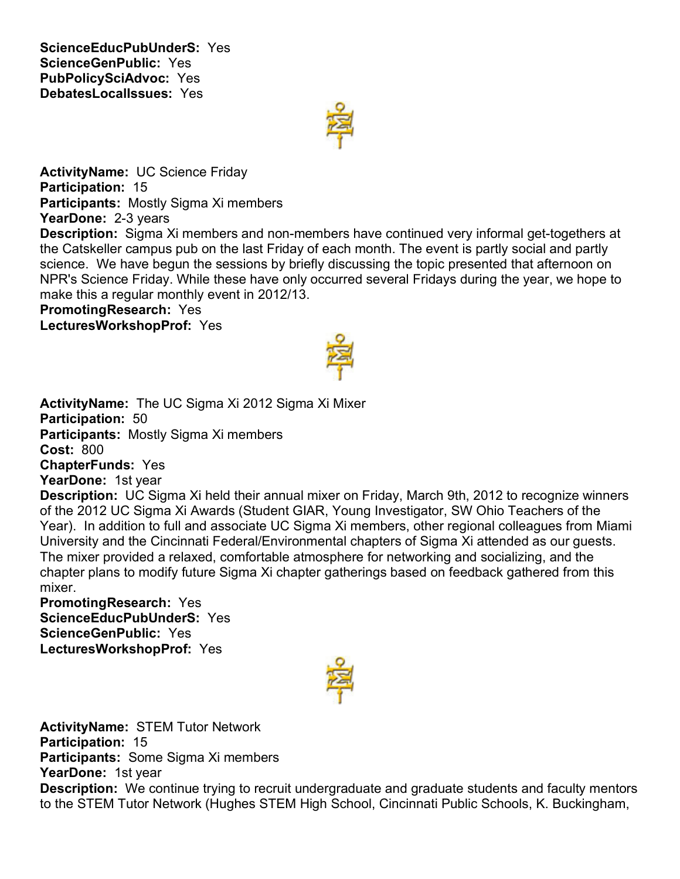**ScienceEducPubUnderS:** Yes **ScienceGenPublic:** Yes **PubPolicySciAdvoc:** Yes **DebatesLocalIssues:** Yes



**ActivityName:** UC Science Friday **Participation:** 15 **Participants:** Mostly Sigma Xi members **YearDone:** 2-3 years

**Description:** Sigma Xi members and non-members have continued very informal get-togethers at the Catskeller campus pub on the last Friday of each month. The event is partly social and partly science. We have begun the sessions by briefly discussing the topic presented that afternoon on NPR's Science Friday. While these have only occurred several Fridays during the year, we hope to make this a regular monthly event in 2012/13.

#### **PromotingResearch:** Yes **LecturesWorkshopProf:** Yes



**ActivityName:** The UC Sigma Xi 2012 Sigma Xi Mixer **Participation:** 50 **Participants:** Mostly Sigma Xi members **Cost:** 800 **ChapterFunds:** Yes **YearDone:** 1st year

**Description:** UC Sigma Xi held their annual mixer on Friday, March 9th, 2012 to recognize winners of the 2012 UC Sigma Xi Awards (Student GIAR, Young Investigator, SW Ohio Teachers of the Year). In addition to full and associate UC Sigma Xi members, other regional colleagues from Miami University and the Cincinnati Federal/Environmental chapters of Sigma Xi attended as our guests. The mixer provided a relaxed, comfortable atmosphere for networking and socializing, and the chapter plans to modify future Sigma Xi chapter gatherings based on feedback gathered from this mixer.

## **PromotingResearch:** Yes **ScienceEducPubUnderS:** Yes **ScienceGenPublic:** Yes **LecturesWorkshopProf:** Yes



**ActivityName:** STEM Tutor Network **Participation:** 15 **Participants:** Some Sigma Xi members **YearDone:** 1st year **Description:** We continue trying to recruit undergraduate and graduate students and faculty mentors to the STEM Tutor Network (Hughes STEM High School, Cincinnati Public Schools, K. Buckingham,